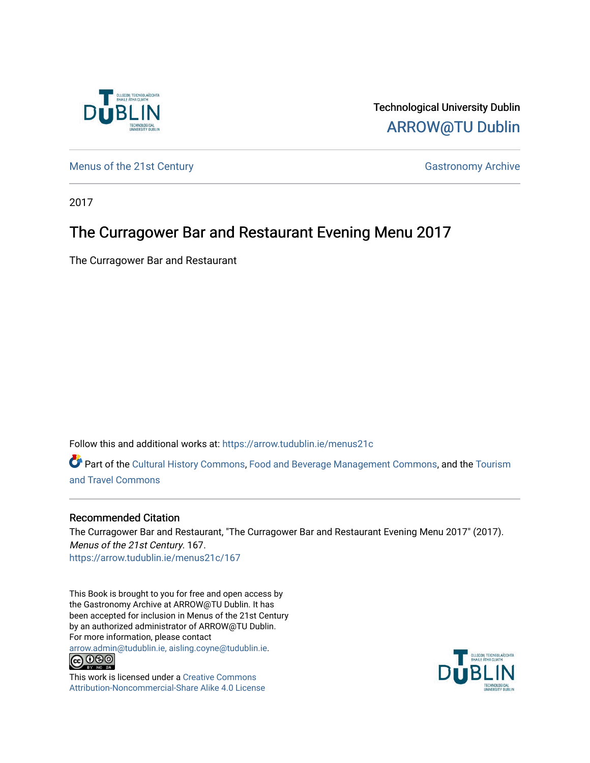

Technological University Dublin [ARROW@TU Dublin](https://arrow.tudublin.ie/) 

[Menus of the 21st Century](https://arrow.tudublin.ie/menus21c) Gastronomy Archive

2017

## The Curragower Bar and Restaurant Evening Menu 2017

The Curragower Bar and Restaurant

Follow this and additional works at: [https://arrow.tudublin.ie/menus21c](https://arrow.tudublin.ie/menus21c?utm_source=arrow.tudublin.ie%2Fmenus21c%2F167&utm_medium=PDF&utm_campaign=PDFCoverPages) 

Part of the [Cultural History Commons](http://network.bepress.com/hgg/discipline/496?utm_source=arrow.tudublin.ie%2Fmenus21c%2F167&utm_medium=PDF&utm_campaign=PDFCoverPages), [Food and Beverage Management Commons,](http://network.bepress.com/hgg/discipline/1089?utm_source=arrow.tudublin.ie%2Fmenus21c%2F167&utm_medium=PDF&utm_campaign=PDFCoverPages) and the [Tourism](http://network.bepress.com/hgg/discipline/1082?utm_source=arrow.tudublin.ie%2Fmenus21c%2F167&utm_medium=PDF&utm_campaign=PDFCoverPages) [and Travel Commons](http://network.bepress.com/hgg/discipline/1082?utm_source=arrow.tudublin.ie%2Fmenus21c%2F167&utm_medium=PDF&utm_campaign=PDFCoverPages)

## Recommended Citation

The Curragower Bar and Restaurant, "The Curragower Bar and Restaurant Evening Menu 2017" (2017). Menus of the 21st Century. 167. [https://arrow.tudublin.ie/menus21c/167](https://arrow.tudublin.ie/menus21c/167?utm_source=arrow.tudublin.ie%2Fmenus21c%2F167&utm_medium=PDF&utm_campaign=PDFCoverPages) 

This Book is brought to you for free and open access by the Gastronomy Archive at ARROW@TU Dublin. It has been accepted for inclusion in Menus of the 21st Century by an authorized administrator of ARROW@TU Dublin. For more information, please contact

[arrow.admin@tudublin.ie, aisling.coyne@tudublin.ie](mailto:arrow.admin@tudublin.ie,%20aisling.coyne@tudublin.ie).<br>
co 000



This work is licensed under a [Creative Commons](http://creativecommons.org/licenses/by-nc-sa/4.0/) [Attribution-Noncommercial-Share Alike 4.0 License](http://creativecommons.org/licenses/by-nc-sa/4.0/)